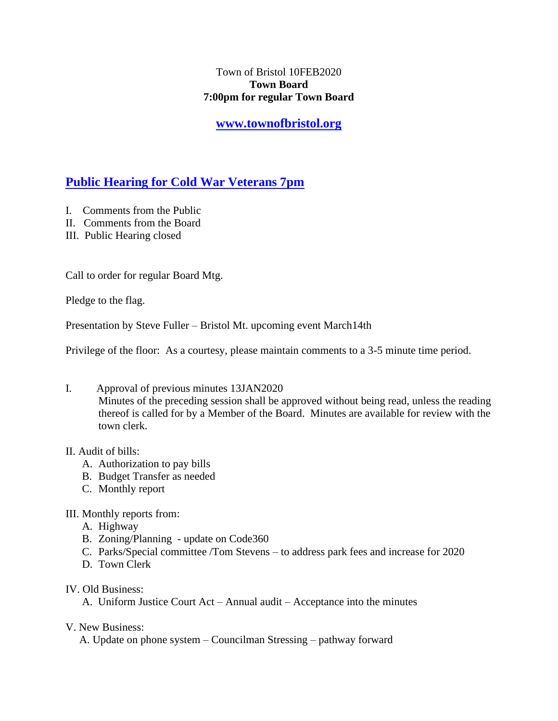## Town of Bristol 10FEB2020 **Town Board 7:00pm for regular Town Board**

**[www.townofbristol.org](http://www.townofbristol.org/)**

# **Public Hearing for Cold War Veterans 7pm**

- I. Comments from the Public
- II. Comments from the Board
- III. Public Hearing closed

Call to order for regular Board Mtg.

Pledge to the flag.

Presentation by Steve Fuller – Bristol Mt. upcoming event March14th

Privilege of the floor: As a courtesy, please maintain comments to a 3-5 minute time period.

I. Approval of previous minutes 13JAN2020 Minutes of the preceding session shall be approved without being read, unless the reading thereof is called for by a Member of the Board. Minutes are available for review with the town clerk.

## II. Audit of bills:

- A. Authorization to pay bills
- B. Budget Transfer as needed
- C. Monthly report

## III. Monthly reports from:

- A. Highway
- B. Zoning/Planning update on Code360
- C. Parks/Special committee /Tom Stevens to address park fees and increase for 2020
- D. Town Clerk
- IV. Old Business:

A. Uniform Justice Court Act – Annual audit – Acceptance into the minutes

V. New Business:

A. Update on phone system – Councilman Stressing – pathway forward